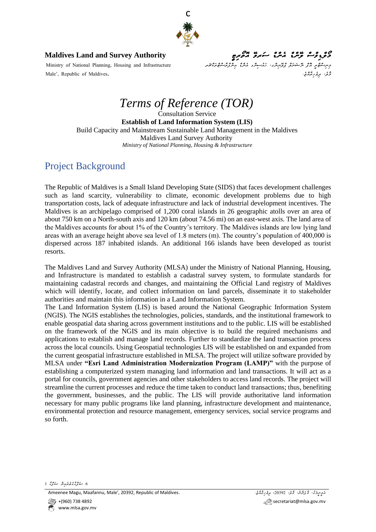

*މޯލްޑިވްސް ލޭންޑް އެންޑް ސަރވޭ އޮތޯރިޓީ* **Authority Survey and Land Maldives**

*زِسِرِ َ۔ مَغْ پِر مَّذَ مِنْ مَسَرَّمَۃٌ مِنْ رَحْسِہِ مِنْ مِنْ رَمْزِحَمْ مِنْ رَمْزُوْمَتْ عَامِنْ کُومِیْ* مِنْ سَمَاءَ Ministry of National Planning, Housing and Infrastructure حَمَّةِ، م*ِرْحَرِ مُرْدَّةٍ.* مِنْ مِسْتَرَجِّيْنِ مِنْ الْقَالِمِينَ مِنْ الْقَالِمِينَ مِنْ مِنْ الْقَالِمِينَ مِنْ الْقَالِمِينَ مِنْ مِنْ الْقَالِمِينَ مِنْ الْقَالِمِينَ مِنْ الْقَالِمِينَ مِنْ الْقَالِمِينَ مِنْ ا

# *Terms of Reference (TOR)*

Consultation Service **Establish of Land Information System (LIS)** Build Capacity and Mainstream Sustainable Land Management in the Maldives Maldives Land Survey Authority *Ministry of National Planning, Housing & Infrastructure*

#### Project Background

The Republic of Maldives is a Small Island Developing State (SIDS) that faces development challenges such as land scarcity, vulnerability to climate, economic development problems due to high transportation costs, lack of adequate infrastructure and lack of industrial development incentives. The Maldives is an archipelago comprised of 1,200 coral islands in 26 geographic atolls over an area of about 750 km on a North-south axis and 120 km (about 74.56 mi) on an east-west axis. The land area of the Maldives accounts for about 1% of the Country's territory. The Maldives islands are low lying land areas with an average height above sea level of 1.8 meters (m). The country's population of 400,000 is dispersed across 187 inhabited islands. An additional 166 islands have been developed as tourist resorts.

The Maldives Land and Survey Authority (MLSA) under the Ministry of National Planning, Housing, and Infrastructure is mandated to establish a cadastral survey system, to formulate standards for maintaining cadastral records and changes, and maintaining the Official Land registry of Maldives which will identify, locate, and collect information on land parcels, disseminate it to stakeholder authorities and maintain this information in a Land Information System.

The Land Information System (LIS) is based around the National Geographic Information System (NGIS). The NGIS establishes the technologies, policies, standards, and the institutional framework to enable geospatial data sharing across government institutions and to the public. LIS will be established on the framework of the NGIS and its main objective is to build the required mechanisms and applications to establish and manage land records. Further to standardize the land transaction process across the local councils. Using Geospatial technologies LIS will be established on and expanded from the current geospatial infrastructure established in MLSA. The project will utilize software provided by MLSA under **"Esri Land Administration Modernization Program (LAMP)"** with the purpose of establishing a computerized system managing land information and land transactions. It will act as a portal for councils, government agencies and other stakeholders to access land records. The project will streamline the current processes and reduce the time taken to conduct land transactions; thus, benefiting the government, businesses, and the public. The LIS will provide authoritative land information necessary for many public programs like land planning, infrastructure development and maintenance, environmental protection and resource management, emergency services, social service programs and so forth.

*6 ޞަފްޙާގެތެރެއިން ޞަފްޙާ 1*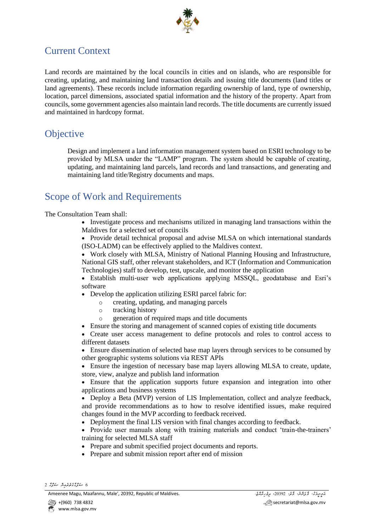

#### Current Context

Land records are maintained by the local councils in cities and on islands, who are responsible for creating, updating, and maintaining land transaction details and issuing title documents (land titles or land agreements). These records include information regarding ownership of land, type of ownership, location, parcel dimensions, associated spatial information and the history of the property. Apart from councils, some government agencies also maintain land records. The title documents are currently issued and maintained in hardcopy format.

#### **Objective**

Design and implement a land information management system based on ESRI technology to be provided by MLSA under the "LAMP" program. The system should be capable of creating, updating, and maintaining land parcels, land records and land transactions, and generating and maintaining land title/Registry documents and maps.

#### Scope of Work and Requirements

The Consultation Team shall:

- Investigate process and mechanisms utilized in managing land transactions within the Maldives for a selected set of councils
- Provide detail technical proposal and advise MLSA on which international standards (ISO-LADM) can be effectively applied to the Maldives context.

• Work closely with MLSA, Ministry of National Planning Housing and Infrastructure, National GIS staff, other relevant stakeholders, and ICT (Information and Communication Technologies) staff to develop, test, upscale, and monitor the application

• Establish multi-user web applications applying MSSQL, geodatabase and Esri's software

- Develop the application utilizing ESRI parcel fabric for:
	- o creating, updating, and managing parcels
	- o tracking history
	- o generation of required maps and title documents
- Ensure the storing and management of scanned copies of existing title documents

• Create user access management to define protocols and roles to control access to different datasets

• Ensure dissemination of selected base map layers through services to be consumed by other geographic systems solutions via REST APIs

• Ensure the ingestion of necessary base map layers allowing MLSA to create, update, store, view, analyze and publish land information

• Ensure that the application supports future expansion and integration into other applications and business systems

• Deploy a Beta (MVP) version of LIS Implementation, collect and analyze feedback, and provide recommendations as to how to resolve identified issues, make required changes found in the MVP according to feedback received.

• Deployment the final LIS version with final changes according to feedback.

• Provide user manuals along with training materials and conduct 'train-the-trainers' training for selected MLSA staff

- Prepare and submit specified project documents and reports.
- Prepare and submit mission report after end of mission

مَ*وِسٍودَة، حَرْمَسِهُ، حَرْمٍ حَرْمٍ مَرْمِرِحَمَّدَ* .<br>مَوسِودَة عَرَمَهُمْ، حَرَمَهُمْ، حَرَمَ 20392 ، مِرْمِرَتَّمَدُّ، مَسَوِّمَ مِنْ مَسْتَقِيمَ .

*<sup>6</sup> ޞަފްޙާގެތެރެއިން ޞަފްޙާ 2*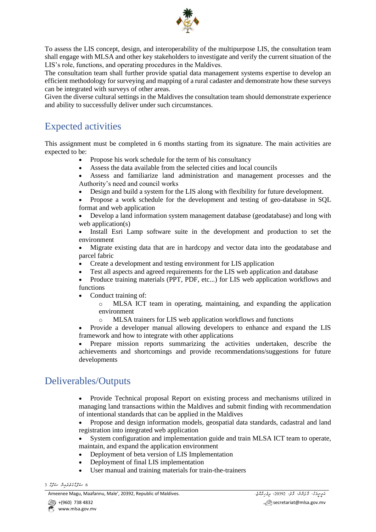

To assess the LIS concept, design, and interoperability of the multipurpose LIS, the consultation team shall engage with MLSA and other key stakeholders to investigate and verify the current situation of the LIS's role, functions, and operating procedures in the Maldives.

The consultation team shall further provide spatial data management systems expertise to develop an efficient methodology for surveying and mapping of a rural cadaster and demonstrate how these surveys can be integrated with surveys of other areas.

Given the diverse cultural settings in the Maldives the consultation team should demonstrate experience and ability to successfully deliver under such circumstances.

#### Expected activities

This assignment must be completed in 6 months starting from its signature. The main activities are expected to be:

- Propose his work schedule for the term of his consultancy
- Assess the data available from the selected cities and local councils
- Assess and familiarize land administration and management processes and the Authority's need and council works
- Design and build a system for the LIS along with flexibility for future development.
- Propose a work schedule for the development and testing of geo-database in SQL format and web application
- Develop a land information system management database (geodatabase) and long with web application(s)

• Install Esri Lamp software suite in the development and production to set the environment

• Migrate existing data that are in hardcopy and vector data into the geodatabase and parcel fabric

- Create a development and testing environment for LIS application
- Test all aspects and agreed requirements for the LIS web application and database
- Produce training materials (PPT, PDF, etc...) for LIS web application workflows and functions

• Conduct training of:

- o MLSA ICT team in operating, maintaining, and expanding the application environment
- o MLSA trainers for LIS web application workflows and functions

• Provide a developer manual allowing developers to enhance and expand the LIS framework and how to integrate with other applications

• Prepare mission reports summarizing the activities undertaken, describe the achievements and shortcomings and provide recommendations/suggestions for future developments

#### Deliverables/Outputs

• Provide Technical proposal Report on existing process and mechanisms utilized in managing land transactions within the Maldives and submit finding with recommendation of intentional standards that can be applied in the Maldives

• Propose and design information models, geospatial data standards, cadastral and land registration into integrated web application

System configuration and implementation guide and train MLSA ICT team to operate, maintain, and expand the application environment

- Deployment of beta version of LIS Implementation
- Deployment of final LIS implementation
- User manual and training materials for train-the-trainers

*6 ޞަފްޙާގެތެރެއިން ޞަފްޙާ 3*

مَرِسِرَدُ، دَّرَسِمْ، دَّسْ 20392، مِوْرِيَّمْهُ، دِرِيْمِيْسْ - Ameenee Magu, Maafannu, Male', 20392, Republic of Maldives.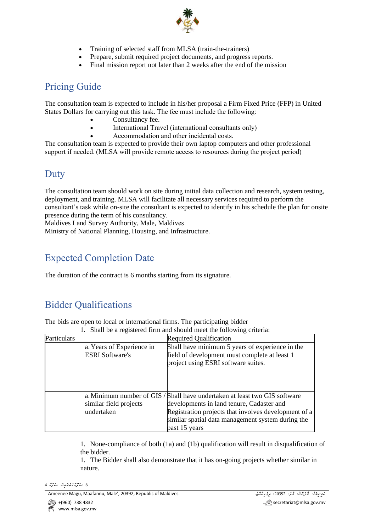

- Training of selected staff from MLSA (train-the-trainers)
- Prepare, submit required project documents, and progress reports.
- Final mission report not later than 2 weeks after the end of the mission

#### Pricing Guide

The consultation team is expected to include in his/her proposal a Firm Fixed Price (FFP) in United States Dollars for carrying out this task. The fee must include the following: 

- Consultancy fee.
- International Travel (international consultants only)
- Accommodation and other incidental costs.

The consultation team is expected to provide their own laptop computers and other professional support if needed. (MLSA will provide remote access to resources during the project period)

#### Duty

The consultation team should work on site during initial data collection and research, system testing, deployment, and training. MLSA will facilitate all necessary services required to perform the consultant's task while on-site the consultant is expected to identify in his schedule the plan for onsite presence during the term of his consultancy.

Maldives Land Survey Authority, Male, Maldives 

Ministry of National Planning, Housing, and Infrastructure.

### Expected Completion Date

The duration of the contract is 6 months starting from its signature.

# Bidder Qualifications

The bids are open to local or international firms. The participating bidder

|             | Shall be a registered firm and should meet the following criteria: |                                                                                                                                                                                                                                                       |  |  |  |  |
|-------------|--------------------------------------------------------------------|-------------------------------------------------------------------------------------------------------------------------------------------------------------------------------------------------------------------------------------------------------|--|--|--|--|
| Particulars |                                                                    | <b>Required Qualification</b>                                                                                                                                                                                                                         |  |  |  |  |
|             | a. Years of Experience in<br><b>ESRI</b> Software's                | Shall have minimum 5 years of experience in the<br>field of development must complete at least 1<br>project using ESRI software suites.                                                                                                               |  |  |  |  |
|             | similar field projects<br>undertaken                               | a. Minimum number of GIS / Shall have undertaken at least two GIS software<br>developments in land tenure, Cadaster and<br>Registration projects that involves development of a<br>similar spatial data management system during the<br>past 15 years |  |  |  |  |

1. None-compliance of both (1a) and (1b) qualification will result in disqualification of the bidder.

1. The Bidder shall also demonstrate that it has on-going projects whether similar in nature.

```
6 ޞަފްޙާގެތެރެއިން ޞަފްޙާ 4
```
مَ*وِسٍودَة، حَرْمَسِهُ، حَرْمٍ حَرْمٍ مَرْمِرِحَمَّدَ* .<br>مَوسِودَة عَرَمَهُمْ، حَرَمَهُمْ، حَرَمَ 20392 ، مِرْمِرَتَّمَدُّ، مَسَوِّمَ مِنْ مَسْتَقِيمَ .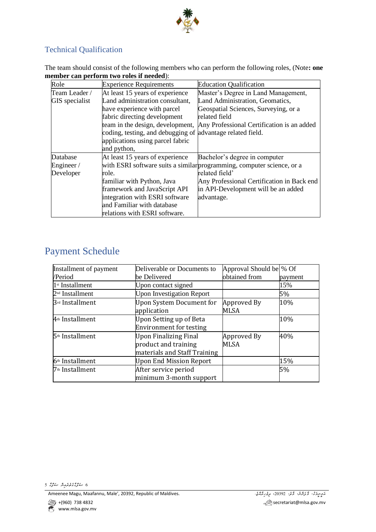

#### Technical Qualification

The team should consist of the following members who can perform the following roles, (Note**: one member can perform two roles if needed**):

| Role                                                       | <b>Experience Requirements</b>   | <b>Education Qualification</b>                                         |  |  |
|------------------------------------------------------------|----------------------------------|------------------------------------------------------------------------|--|--|
| Team Leader /                                              | At least 15 years of experience  | Master's Degree in Land Management,                                    |  |  |
| Land administration consultant,<br><b>GIS</b> specialist   |                                  | Land Administration, Geomatics,                                        |  |  |
|                                                            | have experience with parcel      | Geospatial Sciences, Surveying, or a                                   |  |  |
|                                                            | fabric directing development     | related field                                                          |  |  |
|                                                            | team in the design, development, | Any Professional Certification is an added                             |  |  |
| coding, testing, and debugging of advantage related field. |                                  |                                                                        |  |  |
|                                                            | applications using parcel fabric |                                                                        |  |  |
|                                                            | and python,                      |                                                                        |  |  |
| Database                                                   | At least 15 years of experience  | Bachelor's degree in computer                                          |  |  |
| Engineer/                                                  |                                  | with ESRI software suits a similar programming, computer science, or a |  |  |
| Developer<br>role.                                         |                                  | related field'                                                         |  |  |
|                                                            | familiar with Python, Java       | Any Professional Certification in Back end                             |  |  |
|                                                            | framework and JavaScript API     | in API-Development will be an added                                    |  |  |
|                                                            | integration with ESRI software   | advantage.                                                             |  |  |
|                                                            | and Familiar with database       |                                                                        |  |  |
|                                                            | relations with ESRI software.    |                                                                        |  |  |

### Payment Schedule

| Installment of payment      | Deliverable or Documents to                                                          | Approval Should be \% Of |         |
|-----------------------------|--------------------------------------------------------------------------------------|--------------------------|---------|
| /Period                     | be Delivered                                                                         | obtained from            | payment |
| 1 <sup>st</sup> Installment | Upon contact signed                                                                  |                          | 15%     |
| 2 <sup>nd</sup> Installment | <b>Upon Investigation Report</b>                                                     |                          | 5%      |
| 3rd Installment             | Upon System Document for<br>application                                              | Approved By<br>MLSA      | 10%     |
| 4 <sup>th</sup> Installment | Upon Setting up of Beta<br><b>Environment for testing</b>                            |                          | 10%     |
| 5 <sup>th</sup> Installment | <b>Upon Finalizing Final</b><br>product and training<br>materials and Staff Training | Approved By<br>MLSA      | 40%     |
| 6 <sup>th</sup> Installment | <b>Upon End Mission Report</b>                                                       |                          | 15%     |
| 7 <sup>th</sup> Installment | After service period<br>minimum 3-month support                                      |                          | 5%      |